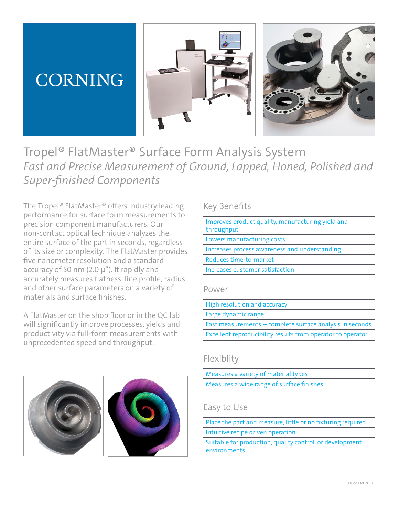# **CORNING**





Tropel® FlatMaster® Surface Form Analysis System *Fast and Precise Measurement of Ground, Lapped, Honed, Polished and Super-finished Components*

The Tropel® FlatMaster® offers industry leading performance for surface form measurements to precision component manufacturers. Our non-contact optical technique analyzes the entire surface of the part in seconds, regardless of its size or complexity. The FlatMaster provides five nanometer resolution and a standard accuracy of 50 nm  $(2.0 \mu$ "). It rapidly and accurately measures flatness, line profile, radius and other surface parameters on a variety of materials and surface finishes.

A FlatMaster on the shop floor or in the QC lab will significantly improve processes, yields and productivity via full-form measurements with unprecedented speed and throughput.



### Key Benefits

| Improves product quality, manufacturing yield and<br>throughput |
|-----------------------------------------------------------------|
| Lowers manufacturing costs                                      |
| Increases process awareness and understanding                   |
| Reduces time-to-market                                          |
| Increases customer satisfaction                                 |
| Power                                                           |
| High resolution and accuracy                                    |
| Large dynamic range                                             |
| Fast measurements -- complete surface analysis in seconds       |
| Excellent reproducibility results from operator to operator     |

### Flexiblity

Measures a variety of material types Measures a wide range of surface finishes

### Easy to Use

Place the part and measure, little or no fixturing required Intuitive recipe driven operation

Suitable for production, quality control, or development environments